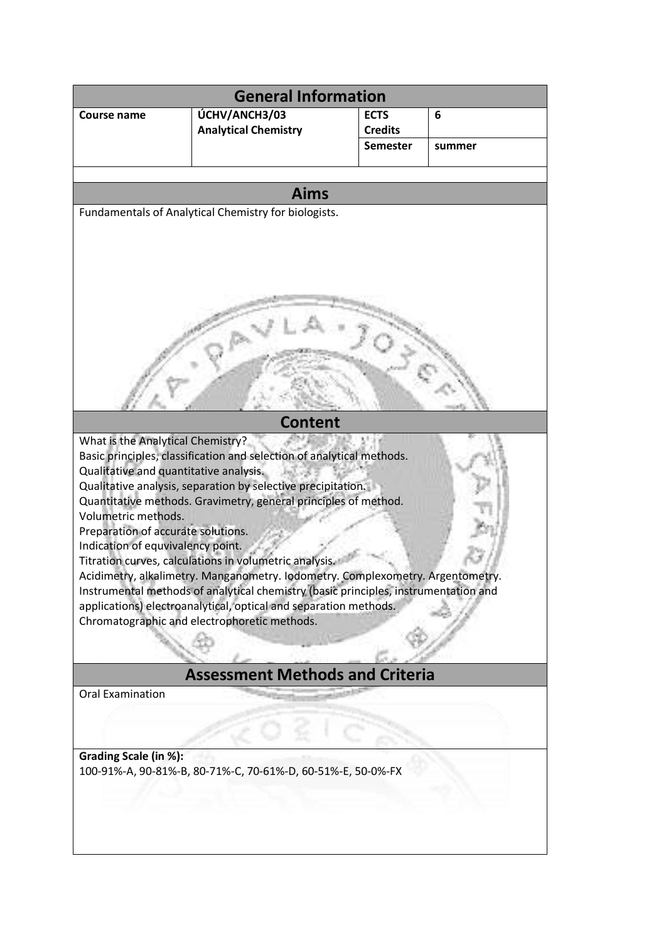